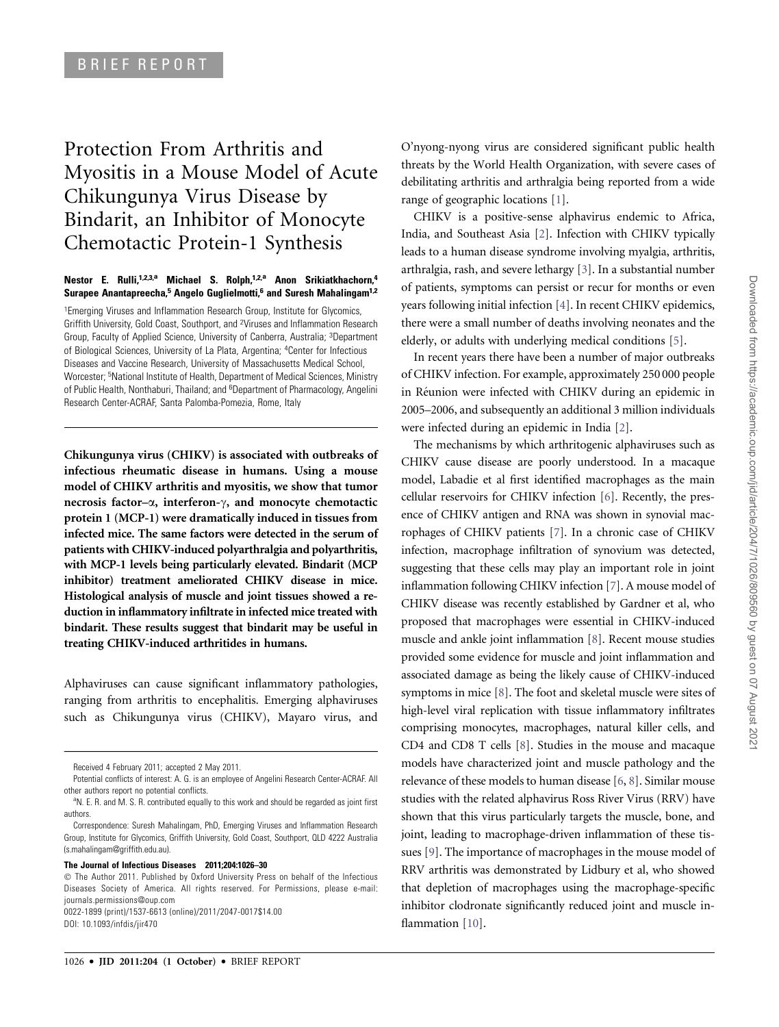# Protection From Arthritis and Myositis in a Mouse Model of Acute Chikungunya Virus Disease by Bindarit, an Inhibitor of Monocyte Chemotactic Protein-1 Synthesis

#### Nestor E. Rulli,<sup>1,2,3,a</sup> Michael S. Rolph,<sup>1,2,a</sup> Anon Srikiatkhachorn,<sup>4</sup> Surapee Anantapreecha,<sup>5</sup> Angelo Guglielmotti,<sup>6</sup> and Suresh Mahalingam<sup>1,2</sup>

<sup>1</sup>Emerging Viruses and Inflammation Research Group, Institute for Glycomics, Griffith University, Gold Coast, Southport, and <sup>2</sup>Viruses and Inflammation Research Group, Faculty of Applied Science, University of Canberra, Australia; <sup>3</sup>Department of Biological Sciences, University of La Plata, Argentina; <sup>4</sup>Center for Infectious Diseases and Vaccine Research, University of Massachusetts Medical School, Worcester; <sup>5</sup>National Institute of Health, Department of Medical Sciences, Ministry of Public Health, Nonthaburi, Thailand; and <sup>6</sup>Department of Pharmacology, Angelini Research Center-ACRAF, Santa Palomba-Pomezia, Rome, Italy

Chikungunya virus (CHIKV) is associated with outbreaks of infectious rheumatic disease in humans. Using a mouse model of CHIKV arthritis and myositis, we show that tumor necrosis factor– $\alpha$ , interferon- $\gamma$ , and monocyte chemotactic protein 1 (MCP-1) were dramatically induced in tissues from infected mice. The same factors were detected in the serum of patients with CHIKV-induced polyarthralgia and polyarthritis, with MCP-1 levels being particularly elevated. Bindarit (MCP inhibitor) treatment ameliorated CHIKV disease in mice. Histological analysis of muscle and joint tissues showed a reduction in inflammatory infiltrate in infected mice treated with bindarit. These results suggest that bindarit may be useful in treating CHIKV-induced arthritides in humans.

Alphaviruses can cause significant inflammatory pathologies, ranging from arthritis to encephalitis. Emerging alphaviruses such as Chikungunya virus (CHIKV), Mayaro virus, and

#### The Journal of Infectious Diseases 2011;204:1026–30

0022-1899 (print)/1537-6613 (online)/2011/2047-0017\$14.00 DOI: 10.1093/infdis/jir470

O'nyong-nyong virus are considered significant public health threats by the World Health Organization, with severe cases of debilitating arthritis and arthralgia being reported from a wide range of geographic locations [1].

CHIKV is a positive-sense alphavirus endemic to Africa, India, and Southeast Asia [2]. Infection with CHIKV typically leads to a human disease syndrome involving myalgia, arthritis, arthralgia, rash, and severe lethargy [3]. In a substantial number of patients, symptoms can persist or recur for months or even years following initial infection [4]. In recent CHIKV epidemics, there were a small number of deaths involving neonates and the elderly, or adults with underlying medical conditions [5].

In recent years there have been a number of major outbreaks of CHIKV infection. For example, approximately 250 000 people in Réunion were infected with CHIKV during an epidemic in 2005–2006, and subsequently an additional 3 million individuals were infected during an epidemic in India [2].

The mechanisms by which arthritogenic alphaviruses such as CHIKV cause disease are poorly understood. In a macaque model, Labadie et al first identified macrophages as the main cellular reservoirs for CHIKV infection [6]. Recently, the presence of CHIKV antigen and RNA was shown in synovial macrophages of CHIKV patients [7]. In a chronic case of CHIKV infection, macrophage infiltration of synovium was detected, suggesting that these cells may play an important role in joint inflammation following CHIKV infection [7]. A mouse model of CHIKV disease was recently established by Gardner et al, who proposed that macrophages were essential in CHIKV-induced muscle and ankle joint inflammation [8]. Recent mouse studies provided some evidence for muscle and joint inflammation and associated damage as being the likely cause of CHIKV-induced symptoms in mice [8]. The foot and skeletal muscle were sites of high-level viral replication with tissue inflammatory infiltrates comprising monocytes, macrophages, natural killer cells, and CD4 and CD8 T cells [8]. Studies in the mouse and macaque models have characterized joint and muscle pathology and the relevance of these models to human disease [6, 8]. Similar mouse studies with the related alphavirus Ross River Virus (RRV) have shown that this virus particularly targets the muscle, bone, and joint, leading to macrophage-driven inflammation of these tissues [9]. The importance of macrophages in the mouse model of RRV arthritis was demonstrated by Lidbury et al, who showed that depletion of macrophages using the macrophage-specific inhibitor clodronate significantly reduced joint and muscle inflammation [10].

Received 4 February 2011; accepted 2 May 2011.

Potential conflicts of interest: A. G. is an employee of Angelini Research Center-ACRAF. All other authors report no potential conflicts.

<sup>&</sup>lt;sup>a</sup>N. E. R. and M. S. R. contributed equally to this work and should be regarded as joint first authors.

Correspondence: Suresh Mahalingam, PhD, Emerging Viruses and Inflammation Research Group, Institute for Glycomics, Griffith University, Gold Coast, Southport, QLD 4222 Australia (s.mahalingam@griffith.edu.au).

The Author 2011. Published by Oxford University Press on behalf of the Infectious Diseases Society of America. All rights reserved. For Permissions, please e-mail: journals.permissions@oup.com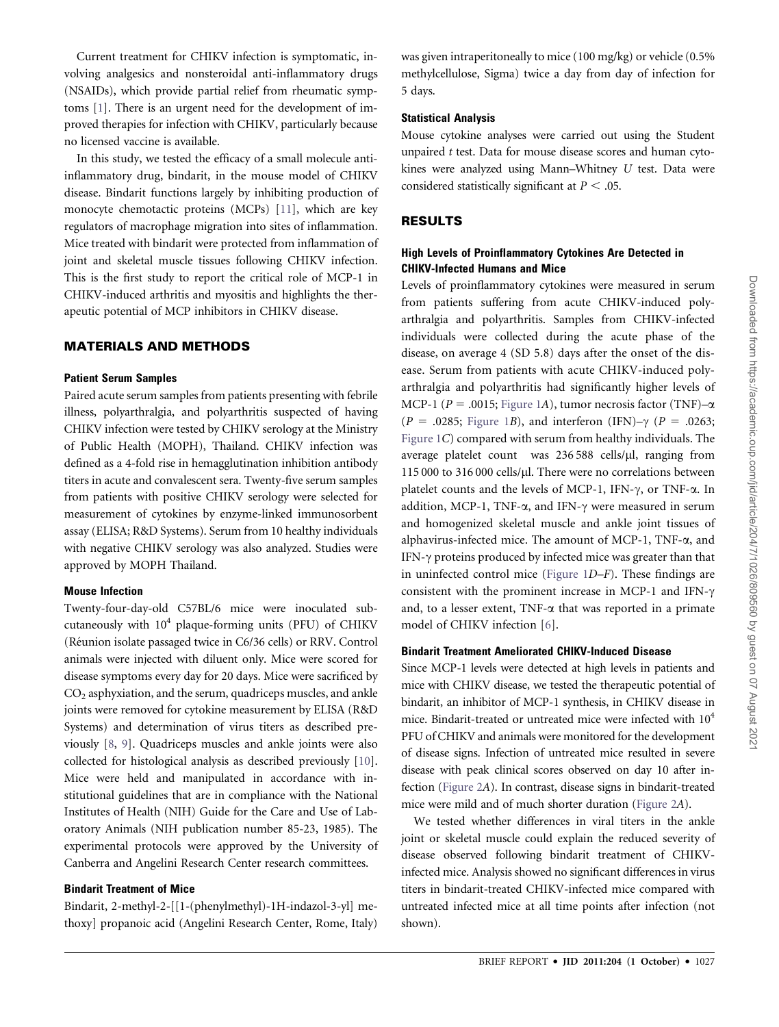Current treatment for CHIKV infection is symptomatic, involving analgesics and nonsteroidal anti-inflammatory drugs (NSAIDs), which provide partial relief from rheumatic symptoms [1]. There is an urgent need for the development of improved therapies for infection with CHIKV, particularly because no licensed vaccine is available.

In this study, we tested the efficacy of a small molecule antiinflammatory drug, bindarit, in the mouse model of CHIKV disease. Bindarit functions largely by inhibiting production of monocyte chemotactic proteins (MCPs) [11], which are key regulators of macrophage migration into sites of inflammation. Mice treated with bindarit were protected from inflammation of joint and skeletal muscle tissues following CHIKV infection. This is the first study to report the critical role of MCP-1 in CHIKV-induced arthritis and myositis and highlights the therapeutic potential of MCP inhibitors in CHIKV disease.

#### MATERIALS AND METHODS

#### Patient Serum Samples

Paired acute serum samples from patients presenting with febrile illness, polyarthralgia, and polyarthritis suspected of having CHIKV infection were tested by CHIKV serology at the Ministry of Public Health (MOPH), Thailand. CHIKV infection was defined as a 4-fold rise in hemagglutination inhibition antibody titers in acute and convalescent sera. Twenty-five serum samples from patients with positive CHIKV serology were selected for measurement of cytokines by enzyme-linked immunosorbent assay (ELISA; R&D Systems). Serum from 10 healthy individuals with negative CHIKV serology was also analyzed. Studies were approved by MOPH Thailand.

#### Mouse Infection

Twenty-four-day-old C57BL/6 mice were inoculated subcutaneously with 10<sup>4</sup> plaque-forming units (PFU) of CHIKV (Réunion isolate passaged twice in C6/36 cells) or RRV. Control animals were injected with diluent only. Mice were scored for disease symptoms every day for 20 days. Mice were sacrificed by  $CO<sub>2</sub>$  asphyxiation, and the serum, quadriceps muscles, and ankle joints were removed for cytokine measurement by ELISA (R&D Systems) and determination of virus titers as described previously [8, 9]. Quadriceps muscles and ankle joints were also collected for histological analysis as described previously [10]. Mice were held and manipulated in accordance with institutional guidelines that are in compliance with the National Institutes of Health (NIH) Guide for the Care and Use of Laboratory Animals (NIH publication number 85-23, 1985). The experimental protocols were approved by the University of Canberra and Angelini Research Center research committees.

#### Bindarit Treatment of Mice

Bindarit, 2-methyl-2-[[1-(phenylmethyl)-1H-indazol-3-yl] methoxy] propanoic acid (Angelini Research Center, Rome, Italy)

was given intraperitoneally to mice (100 mg/kg) or vehicle (0.5% methylcellulose, Sigma) twice a day from day of infection for 5 days.

#### Statistical Analysis

Mouse cytokine analyses were carried out using the Student unpaired t test. Data for mouse disease scores and human cytokines were analyzed using Mann–Whitney U test. Data were considered statistically significant at  $P < .05$ .

#### RESULTS

#### High Levels of Proinflammatory Cytokines Are Detected in CHIKV-Infected Humans and Mice

Levels of proinflammatory cytokines were measured in serum from patients suffering from acute CHIKV-induced polyarthralgia and polyarthritis. Samples from CHIKV-infected individuals were collected during the acute phase of the disease, on average 4 (SD 5.8) days after the onset of the disease. Serum from patients with acute CHIKV-induced polyarthralgia and polyarthritis had significantly higher levels of MCP-1 ( $P = .0015$ ; Figure 1A), tumor necrosis factor (TNF) $-\alpha$ (P = .0285; Figure 1B), and interferon (IFN)– $\gamma$  (P = .0263; Figure 1C) compared with serum from healthy individuals. The average platelet count was 236 588 cells/µl, ranging from 115 000 to 316 000 cells/µl. There were no correlations between platelet counts and the levels of MCP-1, IFN- $\gamma$ , or TNF- $\alpha$ . In addition, MCP-1, TNF- $\alpha$ , and IFN- $\gamma$  were measured in serum and homogenized skeletal muscle and ankle joint tissues of alphavirus-infected mice. The amount of MCP-1, TNF-a, and IFN- $\gamma$  proteins produced by infected mice was greater than that in uninfected control mice (Figure 1D–F). These findings are consistent with the prominent increase in MCP-1 and IFN- $\gamma$ and, to a lesser extent, TNF- $\alpha$  that was reported in a primate model of CHIKV infection [6].

#### Bindarit Treatment Ameliorated CHIKV-Induced Disease

Since MCP-1 levels were detected at high levels in patients and mice with CHIKV disease, we tested the therapeutic potential of bindarit, an inhibitor of MCP-1 synthesis, in CHIKV disease in mice. Bindarit-treated or untreated mice were infected with  $10^4$ PFU of CHIKV and animals were monitored for the development of disease signs. Infection of untreated mice resulted in severe disease with peak clinical scores observed on day 10 after infection (Figure 2A). In contrast, disease signs in bindarit-treated mice were mild and of much shorter duration (Figure 2A).

We tested whether differences in viral titers in the ankle joint or skeletal muscle could explain the reduced severity of disease observed following bindarit treatment of CHIKVinfected mice. Analysis showed no significant differences in virus titers in bindarit-treated CHIKV-infected mice compared with untreated infected mice at all time points after infection (not shown).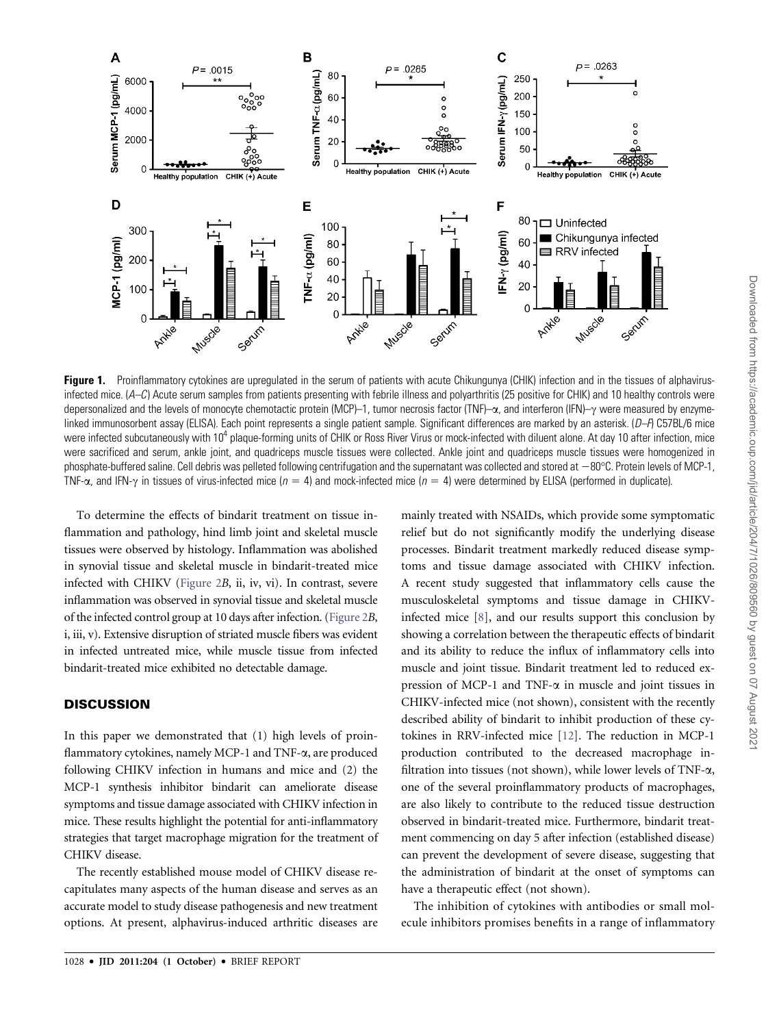

Figure 1. Proinflammatory cytokines are upregulated in the serum of patients with acute Chikungunya (CHIK) infection and in the tissues of alphavirusinfected mice. (A–C) Acute serum samples from patients presenting with febrile illness and polyarthritis (25 positive for CHIK) and 10 healthy controls were depersonalized and the levels of monocyte chemotactic protein (MCP)–1, tumor necrosis factor (TNF)– $\alpha$ , and interferon (IFN)– $\gamma$  were measured by enzymelinked immunosorbent assay (ELISA). Each point represents a single patient sample. Significant differences are marked by an asterisk.  $(D-A)$  C57BL/6 mice were infected subcutaneously with 10<sup>4</sup> plaque-forming units of CHIK or Ross River Virus or mock-infected with diluent alone. At day 10 after infection, mice were sacrificed and serum, ankle joint, and quadriceps muscle tissues were collected. Ankle joint and quadriceps muscle tissues were homogenized in phosphate-buffered saline. Cell debris was pelleted following centrifugation and the supernatant was collected and stored at  $-80^{\circ}$ C. Protein levels of MCP-1, TNF- $\alpha$ , and IFN- $\gamma$  in tissues of virus-infected mice (n = 4) and mock-infected mice (n = 4) were determined by ELISA (performed in duplicate).

To determine the effects of bindarit treatment on tissue inflammation and pathology, hind limb joint and skeletal muscle tissues were observed by histology. Inflammation was abolished in synovial tissue and skeletal muscle in bindarit-treated mice infected with CHIKV (Figure 2B, ii, iv, vi). In contrast, severe inflammation was observed in synovial tissue and skeletal muscle of the infected control group at 10 days after infection. (Figure 2B, i, iii, v). Extensive disruption of striated muscle fibers was evident in infected untreated mice, while muscle tissue from infected bindarit-treated mice exhibited no detectable damage.

# **DISCUSSION**

In this paper we demonstrated that (1) high levels of proinflammatory cytokines, namely MCP-1 and TNF- $\alpha$ , are produced following CHIKV infection in humans and mice and (2) the MCP-1 synthesis inhibitor bindarit can ameliorate disease symptoms and tissue damage associated with CHIKV infection in mice. These results highlight the potential for anti-inflammatory strategies that target macrophage migration for the treatment of CHIKV disease.

The recently established mouse model of CHIKV disease recapitulates many aspects of the human disease and serves as an accurate model to study disease pathogenesis and new treatment options. At present, alphavirus-induced arthritic diseases are

1028 · JID 2011:204 (1 October) · BRIEF REPORT

mainly treated with NSAIDs, which provide some symptomatic relief but do not significantly modify the underlying disease processes. Bindarit treatment markedly reduced disease symptoms and tissue damage associated with CHIKV infection. A recent study suggested that inflammatory cells cause the musculoskeletal symptoms and tissue damage in CHIKVinfected mice [8], and our results support this conclusion by showing a correlation between the therapeutic effects of bindarit and its ability to reduce the influx of inflammatory cells into muscle and joint tissue. Bindarit treatment led to reduced expression of MCP-1 and TNF- $\alpha$  in muscle and joint tissues in CHIKV-infected mice (not shown), consistent with the recently described ability of bindarit to inhibit production of these cytokines in RRV-infected mice [12]. The reduction in MCP-1 production contributed to the decreased macrophage infiltration into tissues (not shown), while lower levels of TNF- $\alpha$ , one of the several proinflammatory products of macrophages, are also likely to contribute to the reduced tissue destruction observed in bindarit-treated mice. Furthermore, bindarit treatment commencing on day 5 after infection (established disease) can prevent the development of severe disease, suggesting that the administration of bindarit at the onset of symptoms can have a therapeutic effect (not shown).

The inhibition of cytokines with antibodies or small molecule inhibitors promises benefits in a range of inflammatory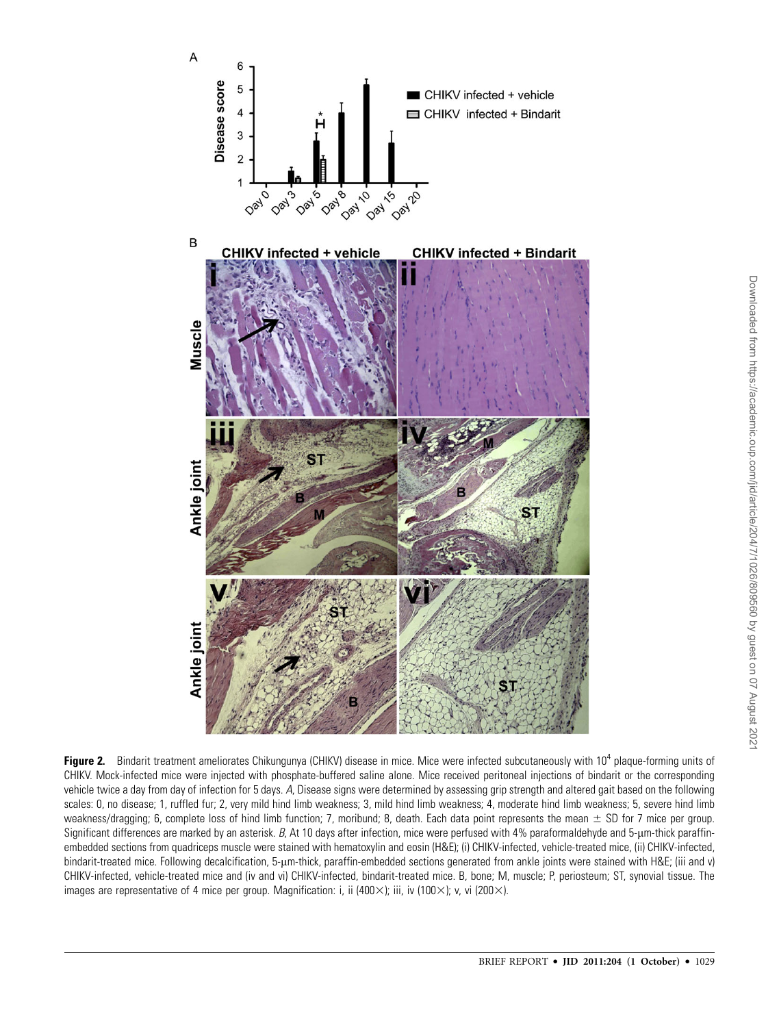

Figure 2. Bindarit treatment ameliorates Chikungunya (CHIKV) disease in mice. Mice were infected subcutaneously with 10<sup>4</sup> plaque-forming units of CHIKV. Mock-infected mice were injected with phosphate-buffered saline alone. Mice received peritoneal injections of bindarit or the corresponding vehicle twice a day from day of infection for 5 days. A, Disease signs were determined by assessing grip strength and altered gait based on the following scales: 0, no disease; 1, ruffled fur; 2, very mild hind limb weakness; 3, mild hind limb weakness; 4, moderate hind limb weakness; 5, severe hind limb weakness/dragging; 6, complete loss of hind limb function; 7, moribund; 8, death. Each data point represents the mean  $\pm$  SD for 7 mice per group. Significant differences are marked by an asterisk. B, At 10 days after infection, mice were perfused with 4% paraformaldehyde and 5-µm-thick paraffinembedded sections from quadriceps muscle were stained with hematoxylin and eosin (H&E); (i) CHIKV-infected, vehicle-treated mice, (ii) CHIKV-infected, bindarit-treated mice. Following decalcification, 5-µm-thick, paraffin-embedded sections generated from ankle joints were stained with H&E; (iii and v) CHIKV-infected, vehicle-treated mice and (iv and vi) CHIKV-infected, bindarit-treated mice. B, bone; M, muscle; P, periosteum; ST, synovial tissue. The images are representative of 4 mice per group. Magnification: i, ii (400 $\times$ ); iii, iv (100 $\times$ ); v, vi (200 $\times$ ).